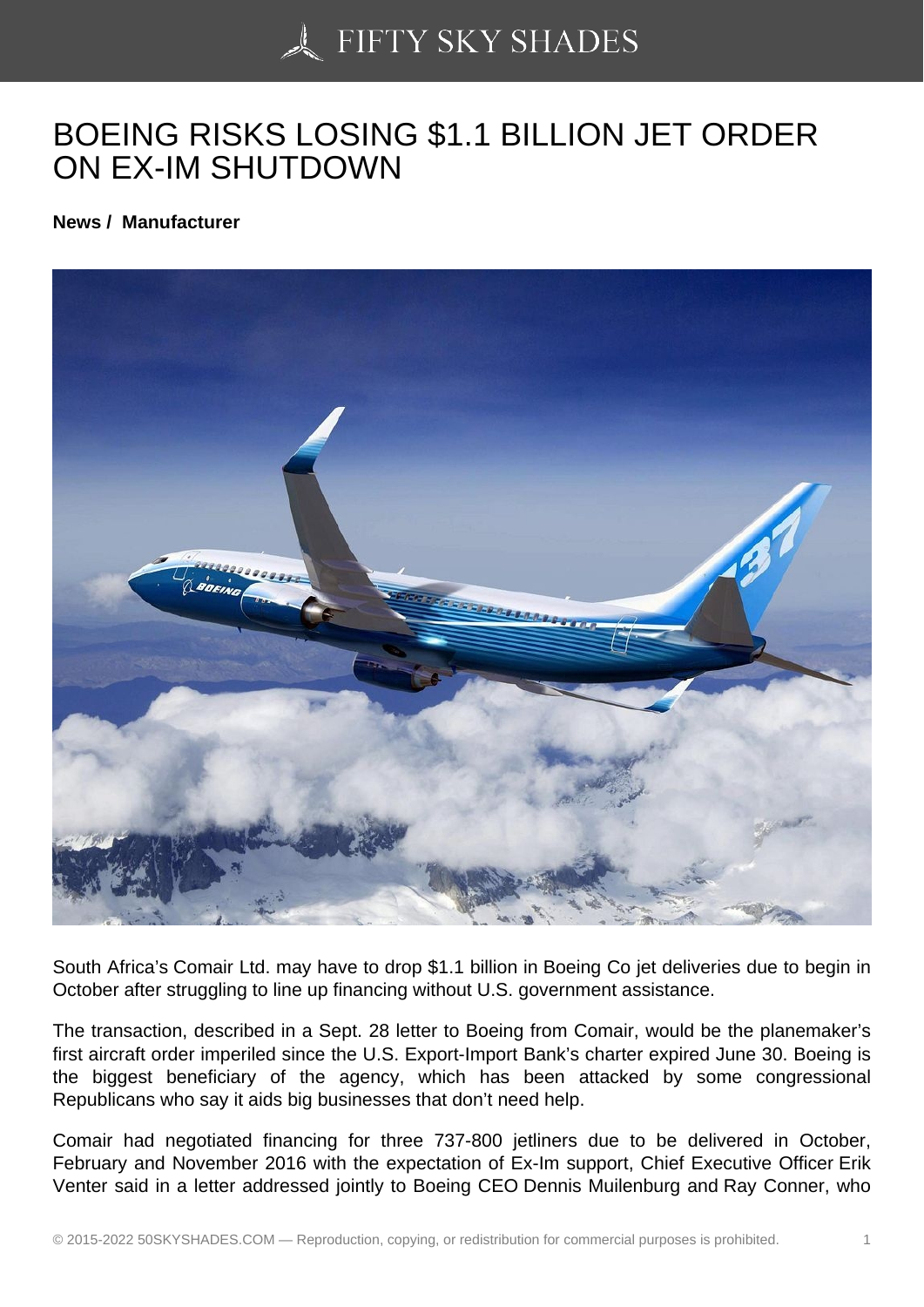## [BOEING RISKS LOSIN](https://50skyshades.com)G \$1.1 BILLION JET ORDER ON EX-IM SHUTDOWN

News / Manufacturer

South Africa's Comair Ltd. may have to drop \$1.1 billion in Boeing Co jet deliveries due to begin in October after struggling to line up financing without U.S. government assistance.

The transaction, described in a Sept. 28 letter to Boeing from Comair, would be the planemaker's first aircraft order imperiled since the U.S. Export-Import Bank's charter expired June 30. Boeing is the biggest beneficiary of the agency, which has been attacked by some congressional Republicans who say it aids big businesses that don't need help.

Comair had negotiated financing for three 737-800 jetliners due to be delivered in October, February and November 2016 with the expectation of Ex-Im support, Chief Executive Officer Erik Venter said in a letter addressed jointly to Boeing CEO Dennis Muilenburg and Ray Conner, who